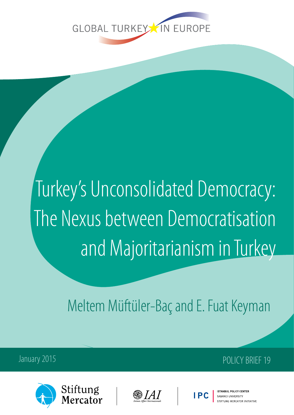

# Turkey's Unconsolidated Democracy: The Nexus between Democratisation and Majoritarianism in Turkey

Meltem Müftüler-Baç and E. Fuat Keyman



lercator







SARANCLUNIVERSITY TUNG MERCATOR INITIATIVE

January 2015 **POLICY BRIFF 19**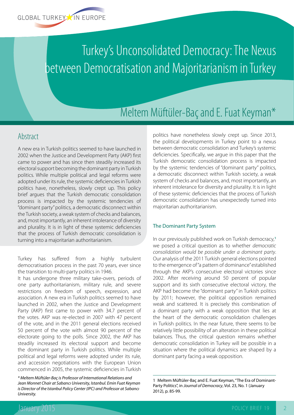

## Turkey's Unconsolidated Democracy: The Nexus between Democratisation and Majoritarianism in Turkey

### Meltem Müftüler-Baç and E. Fuat Keyman\*

#### Abstract

A new era in Turkish politics seemed to have launched in 2002 when the Justice and Development Party (AKP) first came to power and has since then steadily increased its electoral support becoming the dominant party in Turkish politics. While multiple political and legal reforms were adopted under its rule, the systemic deficiencies in Turkish politics have, nonetheless, slowly crept up. This policy brief argues that the Turkish democratic consolidation process is impacted by the systemic tendencies of "dominant party" politics, a democratic disconnect within the Turkish society, a weak system of checks and balances, and, most importantly, an inherent intolerance of diversity and plurality. It is in light of these systemic deficiencies that the process of Turkish democratic consolidation is turning into a majoritarian authoritarianism.

Turkey has suffered from a highly turbulent democratisation process in the past 70 years, ever since the transition to multi-party politics in 1946.

It has undergone three military take-overs, periods of one party authoritarianism, military rule, and severe restrictions on freedom of speech, expression, and association. A new era in Turkish politics seemed to have launched in 2002, when the Justice and Development Party (AKP) first came to power with 34.7 percent of the votes. AKP was re-elected in 2007 with 47 percent of the vote, and in the 2011 general elections received 50 percent of the vote with almost 90 percent of the electorate going to the polls. Since 2002, the AKP has steadily increased its electoral support and become the dominant party in Turkish politics. While multiple political and legal reforms were adopted under its rule, and accession negotiations with the European Union commenced in 2005, the systemic deficiencies in Turkish

*\* Meltem Müftüler-Baç is Professor of International Relations and Jean Monnet Chair at Sabancı University, Istanbul. Emin Fuat Keyman is Director of the Istanbul Policy Center (IPC) and Professor at Sabancı University.*

politics have nonetheless slowly crept up. Since 2013, the political developments in Turkey point to a nexus between democratic consolidation and Turkey's systemic deficiencies. Specifically, we argue in this paper that the Turkish democratic consolidation process is impacted by the systemic tendencies of "dominant party" politics, a democratic disconnect within Turkish society, a weak system of checks and balances, and, most importantly, an inherent intolerance for diversity and plurality. It is in light of these systemic deficiencies that the process of Turkish democratic consolidation has unexpectedly turned into majoritarian authoritarianism.

#### The Dominant Party System

In our previously published work on Turkish democracy,**<sup>1</sup>** we posed a critical question as to whether *democratic consolidation would be possible under a dominant party*. Our analysis of the 2011 Turkish general elections pointed to the emergence of "a pattern of dominance" established through the AKP's consecutive electoral victories since 2002. After receiving around 50 percent of popular support and its sixth consecutive electoral victory, the AKP had become the "dominant party" in Turkish politics by 2011; however, the political opposition remained weak and scattered. It is precisely this combination of a dominant party with a weak opposition that lies at the heart of the democratic consolidation challenges in Turkish politics. In the near future, there seems to be relatively little possibility of an alteration in these political balances. Thus, the critical question remains whether democratic consolidation in Turkey will be possible in a situation where the political dynamics are shaped by a dominant party facing a weak opposition.

<sup>1</sup> Meltem Müftüler-Baç and E. Fuat Keyman, "The Era of Dominant-Party Politics", in *Journal of Democracy*, Vol. 23, No. 1 (January 2012), p. 85-99.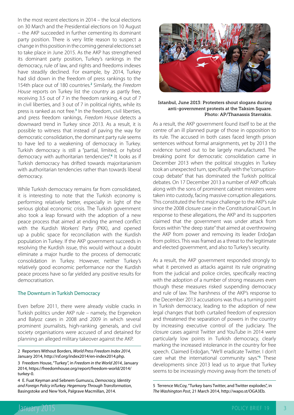In the most recent elections in 2014 – the local elections on 30 March and the Presidential elections on 10 August – the AKP succeeded in further cementing its dominant party position. There is very little reason to suspect a change in this position in the coming general elections set to take place in June 2015. As the AKP has strengthened its dominant party position, Turkey's rankings in the democracy, rule of law, and rights and freedoms indexes have steadily declined. For example, by 2014, Turkey had slid down in the freedom of press rankings to the 154th place out of 180 countries.**<sup>2</sup>** Similarly, the *Freedom House* reports on Turkey list the country as partly free, receiving 3.5 out of 7 in the freedom ranking, 4 out of 7 in civil liberties, and 3 out of 7 in political rights, while its press is ranked as not free.**<sup>3</sup>** In the freedom, civil liberties, and press freedom rankings, *Freedom House* detects a downward trend in Turkey since 2013. As a result, it is possible to witness that instead of paving the way for democratic consolidation, the dominant party rule seems to have led to a weakening of democracy in Turkey. Turkish democracy is still a "partial, limited, or hybrid democracy with authoritarian tendencies".**<sup>4</sup>** It looks as if Turkish democracy has drifted towards majoritarianism with authoritarian tendencies rather than towards liberal democracy.

While Turkish democracy remains far from consolidated, it is interesting to note that the Turkish economy is performing relatively better, especially in light of the serious global economic crisis. The Turkish government also took a leap forward with the adoption of a new peace process that aimed at ending the armed conflict with the Kurdish Workers' Party (PKK), and opened up a public space for reconciliation with the Kurdish population in Turkey. If the AKP government succeeds in resolving the Kurdish issue, this would without a doubt eliminate a major hurdle to the process of democratic consolidation in Turkey. However, neither Turkey's relatively good economic performance nor the Kurdish peace process have so far yielded any positive results for democratisation.

#### The Downturn in Turkish Democracy

Even before 2011, there were already visible cracks in Turkish politics under AKP rule – namely, the Ergenekon and Balyoz cases in 2008 and 2009 in which several prominent journalists, high-ranking generals, and civil society organisations were accused of and detained for planning an alleged military takeover against the AKP.

2 Reporters Without Borders, *World Press Freedom Index 2014*, January 2014, <http://rsf.org/index2014/en-index2014.php>.

3 Freedom House, "Turkey", in *Freedom in the World 2014*, January 2014, [https://freedomhouse.org/report/freedom-world/2014/](https://freedomhouse.org/report/freedom-world/2014/turkey-0) [turkey-0](https://freedomhouse.org/report/freedom-world/2014/turkey-0).

4 E. Fuat Keyman and Sebnem Gumuscu, *Democracy, Identity and Foreign Policy inTurkey. Hegemony Through Transformation*, Basingstoke and New York, Palgrave Macmillan, 2014.



#### Istanbul, June 2013: Protesters shout slogans during anti-government protests at the Taksim Square. Photo: AP/Thanassis Stavrakis.

As a result, the AKP government found itself to be at the centre of an ill planned purge of those in opposition to its rule. The accused in both cases faced length prison sentences without formal arraignments, yet by 2013 the evidence turned out to be largely manufactured. The breaking point for democratic consolidation came in December 2013 when the political struggles in Turkey took an unexpected turn, specifically with the "corruptioncoup debate" that has dominated the Turkish political debates. On 17 December 2013 a number of AKP officials along with the sons of prominent cabinet ministers were taken into custody, facing massive corruption allegations. This constituted the first major challenge to the AKP's rule since the 2008 closure case in the Constitutional Court. In response to these allegations, the AKP and its supporters claimed that the government was under attack from forces within "the deep state" that aimed at overthrowing the AKP from power and removing its leader Erdoğan from politics. This was framed as a threat to the legitimate and elected government, and also to Turkey's security.

As a result, the AKP government responded strongly to what it perceived as attacks against its rule originating from the judicial and police circles, specifically reacting with the adoption of a number of strong measures even though these measures risked suspending democracy and rule of law. The harshness of the AKP's response to the December 2013 accusations was thus a turning point in Turkish democracy, leading to the adoption of new legal changes that both curtailed freedom of expression and threatened the separation of powers in the country by increasing executive control of the judiciary. The closure cases against Twitter and YouTube in 2014 were particularly low points in Turkish democracy, clearly marking the increased intolerance in the country for free speech. Claimed Erdoğan, "We'll eradicate Twitter. I don't care what the international community says."**<sup>5</sup>** These developments since 2013 lead us to argue that Turkey seems to be increasingly moving away from the tenets of

<sup>5</sup> Terrence McCoy, "Turkey bans Twitter, and Twitter explodes", in *The Washington Post*, 21 March 2014, [http://wapo.st/OGA3Eb.](http://wapo.st/OGA3Eb)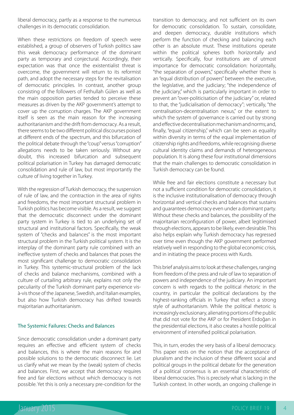liberal democracy, partly as a response to the numerous challenges in its democratic consolidation.

When these restrictions on freedom of speech were established, a group of observers of Turkish politics saw this weak democracy performance of the dominant party as temporary and conjectural. Accordingly, their expectation was that once the existentialist threat is overcome, the government will return to its reformist path, and adopt the necessary steps for the revitalisation of democratic principles. In contrast, another group consisting of the followers of Fethullah Gülen as well as the main opposition parties tended to perceive these measures as driven by the AKP government's attempt to cover up the corruption charges. The AKP government itself is seen as the main reason for the increasing authoritarianism and the drift from democracy. As a result, there seems to be two different political discourses poised at different ends of the spectrum, and this bifurcation of the political debate through the "coup" versus "corruption" allegations needs to be taken seriously. Without any doubt, this increased bifurcation and subsequent political polarisation in Turkey has damaged democratic consolidation and rule of law, but most importantly the culture of living together in Turkey.

With the regression of Turkish democracy, the suspension of rule of law, and the contraction in the area of rights and freedoms, the most important structural problem in Turkish politics has become visible. As a result, we suggest that the democratic disconnect under the dominant party system in Turkey is tied to an underlying set of structural and institutional factors. Specifically, the weak system of "checks and balances" is the most important structural problem in the Turkish political system. It is the interplay of the dominant party rule combined with an ineffective system of checks and balances that poses the most significant challenge to democratic consolidation in Turkey. This systemic-structural problem of the lack of checks and balance mechanisms, combined with a culture of curtailing arbitrary rule, explains not only the peculiarity of the Turkish dominant party experience visà-vis those of the Japanese, Swedish, and Italian examples, but also how Turkish democracy has drifted towards majoritarian authoritarianism.

#### The Systemic Failures: Checks and Balances

Since democratic consolidation under a dominant party requires an effective and efficient system of checks and balances, this is where the main reasons for and possible solutions to the democratic disconnect lie. Let us clarify what we mean by the (weak) system of checks and balances. First, we accept that democracy requires free and fair elections without which democracy is not possible. Yet this is only a necessary pre-condition for the

transition to democracy, and not sufficient on its own for democratic consolidation. To sustain, consolidate, and deepen democracy, durable institutions which perform the function of checking and balancing each other is an absolute must. These institutions operate within the political spheres both horizontally and vertically. Specifically, four institutions are of utmost importance for democratic consolidation: horizontally, "the separation of powers," specifically whether there is an "equal distribution of powers" between the executive, the legislative, and the judiciary; "the independence of the judiciary," which is particularly important in order to prevent an "over-politicisation of the judiciary" or, related to that, the "judicialisation of democracy"; vertically, "the centralisation-decentralisation nexus," or the extent to which the system of governance is carried out by strong and effective decentralisation mechanism and norms; and, finally, "equal citizenship," which can be seen as equality within diversity in terms of the equal implementation of citizenship rights and freedoms, while recognising diverse cultural identity claims and demands of heterogeneous population. It is along these four institutional dimensions that the main challenges to democratic consolidation in Turkish democracy can be found.

While free and fair elections constitute a necessary but not a sufficient condition for democratic consolidation, it is the inclusive institutionalisation of democracy through horizontal and vertical checks and balances that sustains and guarantees democracy even under a dominant party. Without these checks and balances, the possibility of the majoritarian reconfiguration of power, albeit legitimised through elections, appears to be likely, even desirable. This also helps explain why Turkish democracy has regressed over time even though the AKP government performed relatively well in responding to the global economic crisis, and in initiating the peace process with Kurds.

This brief analysis aims to look at these challenges, ranging from freedom of the press and rule of law to separation of powers and independence of the judiciary. An important concern is with regards to the political rhetoric in the country, in particular the political declarations by the highest-ranking officials in Turkey that reflect a strong style of authoritarianism. While the political rhetoric is increasingly exclusionary, alienating portions of the public that did not vote for the AKP or for President Erdoğan in the presidential elections, it also creates a hostile political environment of intensified political polarisation.

This, in turn, erodes the very basis of a liberal democracy. This paper rests on the notion that the acceptance of pluralism and the inclusion of these different social and political groups in the political debate for the generation of a political consensus is an essential characteristic of liberal democracies. This is precisely what is lacking in the Turkish context. In other words, an ongoing challenge in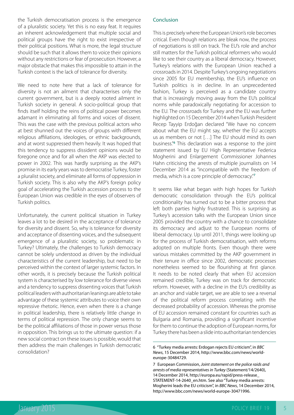the Turkish democratisation process is the emergence of a pluralistic society. Yet this is no easy feat. It requires an inherent acknowledgement that multiple social and political groups have the right to exist irrespective of their political positions. What is more, the legal structure should be such that it allows them to voice their opinions without any restrictions or fear of prosecution. However, a major obstacle that makes this impossible to attain in the Turkish context is the lack of tolerance for diversity.

We need to note here that a lack of tolerance for diversity is not an ailment that characterises only the current government, but is a deeply rooted ailment in Turkish society in general. A socio-political group that finds itself holding the reins of political power becomes adamant in eliminating all forms and voices of dissent. This was the case with the previous political actors who at best shunned out the voices of groups with different religious affiliations, ideologies, or ethnic backgrounds, and at worst suppressed them heavily. It was hoped that this tendency to suppress dissident opinions would be foregone once and for all when the AKP was elected to power in 2002. This was hardly surprising as the AKP's promise in its early years was to democratise Turkey, foster a pluralist society, and eliminate all forms of oppression in Turkish society. This is also why the AKP's foreign policy goal of accelerating the Turkish accession process to the European Union was credible in the eyes of observers of Turkish politics.

Unfortunately, the current political situation in Turkey leaves a lot to be desired in the acceptance of tolerance for diversity and dissent. So, why is tolerance for diversity and acceptance of dissenting voices, and the subsequent emergence of a pluralistic society, so problematic in Turkey? Ultimately, the challenges to Turkish democracy cannot be solely understood as driven by the individual characteristics of the current leadership, but need to be perceived within the context of larger systemic factors. In other words, it is precisely because the Turkish political system is characterised by low tolerance for diverse views and a tendency to suppress dissenting voices that Turkish political leaders with authoritarian leanings are able to take advantage of these systemic attributes to voice their own repressive rhetoric. Hence, even when there is a change in political leadership, there is relatively little change in terms of political repression. The only change seems to be the political affiliations of those in power versus those in opposition. This brings us to the ultimate question: if a new social contract on these issues is possible, would that then address the main challenges in Turkish democratic consolidation?

#### Conclusion

This is precisely where the European Union's role becomes critical. Even though relations are bleak now, the process of negotiations is still on track. The EU's role and anchor still matters for the Turkish political reformers who would like to see their country as a liberal democracy. However, Turkey's relations with the European Union reached a crossroads in 2014. Despite Turkey's ongoing negotiations since 2005 for EU membership, the EU's influence on Turkish politics is in decline. In an unprecedented fashion, Turkey is perceived as a candidate country that is increasingly moving away from the EU's political norms while paradoxically negotiating for accession to the EU. The crossroads for Turkey and the EU was further highlighted on 15 December 2014 when Turkish President Recep Tayyip Erdoğan declared "We have no concern about what the EU might say, whether the EU accepts us as members or not […] The EU should mind its own business."**<sup>6</sup>** This declaration was a response to the joint statement issued by EU High Representative Federica Mogherini and Enlargement Commissioner Johannes Hahn criticising the arrests of multiple journalists on 14 December 2014 as "incompatible with the freedom of media, which is a core principle of democracy."**<sup>7</sup>**

It seems like what began with high hopes for Turkish democratic consolidation through the EU's political conditionality has turned out to be a bitter process that left both parties highly frustrated. This is surprising as Turkey's accession talks with the European Union since 2005 provided the country with a chance to consolidate its democracy and adjust to the European norms of liberal democracy. Up until 2011, things were looking up for the process of Turkish democratisation, with reforms adopted on multiple fronts. Even though there were various mistakes committed by the AKP government in their tenure in office since 2002, democratic processes nonetheless seemed to be flourishing at first glance. It needs to be noted clearly that when EU accession remained credible, Turkey was on track for democratic reform. However, with a decline in the EU's credibility as an anchor and viable target, we are able to see a reversal of the political reform process correlating with the decreased probability of accession. Whereas the promise of EU accession remained constant for countries such as Bulgaria and Romania, providing a significant incentive for them to continue the adoption of European norms, for Turkey there has been a slide into authoritarian tendencies

<sup>6</sup> "Turkey media arrests: Erdogan rejects EU criticism", in *BBC News*, 15 December 2014, [http://www.bbc.com/news/world](http://www.bbc.com/news/world-europe-30484729)[europe-30484729.](http://www.bbc.com/news/world-europe-30484729)

<sup>7</sup> European Commission, *Joint statement on the police raids and arrests of media representatives in Turkey* (Statement/14/2640), 14 December 2014, [http://europa.eu/rapid/press-release\\_](http://europa.eu/rapid/press-release_STATEMENT-14-2640_en.htm) [STATEMENT-14-2640\\_en.htm.](http://europa.eu/rapid/press-release_STATEMENT-14-2640_en.htm) See also "Turkey media arrests: Mogherini leads the EU criticism", in *BBC News*, 14 December 2014, <http://www.bbc.com/news/world-europe-30471996>.